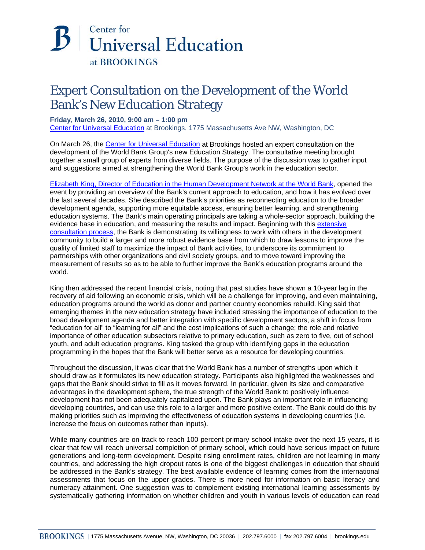## Center for **Universal Education** at BROOKINGS

## Expert Consultation on the Development of the World Bank's New Education Strategy

## **Friday, March 26, 2010, 9:00 am – 1:00 pm**

[Center for Universal Education](http://www.brookings.edu/universal-education.aspx) at Brookings, 1775 Massachusetts Ave NW, Washington, DC

On March 26, the [Center for Universal Education](http://www.brookings.edu/universal-education.aspx) at Brookings hosted an expert consultation on the development of the World Bank Group's new Education Strategy. The consultative meeting brought together a small group of experts from diverse fields. The purpose of the discussion was to gather input and suggestions aimed at strengthening the World Bank Group's work in the education sector.

[Elizabeth King, Director of Education in the Human Development Network at the World Bank,](http://web.worldbank.org/WBSITE/EXTERNAL/NEWS/0,,contentMDK:22095215~pagePK:64257043~piPK:437376~theSitePK:4607,00.html) opened the event by providing an overview of the Bank's current approach to education, and how it has evolved over the last several decades. She described the Bank's priorities as reconnecting education to the broader development agenda, supporting more equitable access, ensuring better learning, and strengthening education systems. The Bank's main operating principals are taking a whole-sector approach, building the evidence base in education, and measuring the results and impact. Beginning with this extensive [consultation process, t](http://www.worldbank.org/educationstrategy2020)he Bank is demonstrating its willingness to work with others in the development community to build a larger and more robust evidence base from which to draw lessons to improve the quality of limited staff to maximize the impact of Bank activities, to underscore its commitment to partnerships with other organizations and civil society groups, and to move toward improving the measurement of results so as to be able to further improve the Bank's education programs around the world.

King then addressed the recent financial crisis, noting that past studies have shown a 10-year lag in the recovery of aid following an economic crisis, which will be a challenge for improving, and even maintaining, education programs around the world as donor and partner country economies rebuild. King said that emerging themes in the new education strategy have included stressing the importance of education to the broad development agenda and better integration with specific development sectors; a shift in focus from "education for all" to "learning for all" and the cost implications of such a change; the role and relative importance of other education subsectors relative to primary education, such as zero to five, out of school youth, and adult education programs. King tasked the group with identifying gaps in the education programming in the hopes that the Bank will better serve as a resource for developing countries.

Throughout the discussion, it was clear that the World Bank has a number of strengths upon which it should draw as it formulates its new education strategy. Participants also highlighted the weaknesses and gaps that the Bank should strive to fill as it moves forward. In particular, given its size and comparative advantages in the development sphere, the true strength of the World Bank to positively influence development has not been adequately capitalized upon. The Bank plays an important role in influencing developing countries, and can use this role to a larger and more positive extent. The Bank could do this by making priorities such as improving the effectiveness of education systems in developing countries (i.e. increase the focus on outcomes rather than inputs).

While many countries are on track to reach 100 percent primary school intake over the next 15 years, it is clear that few will reach universal completion of primary school, which could have serious impact on future generations and long-term development. Despite rising enrollment rates, children are not learning in many countries, and addressing the high dropout rates is one of the biggest challenges in education that should be addressed in the Bank's strategy. The best available evidence of learning comes from the international assessments that focus on the upper grades. There is more need for information on basic literacy and numeracy attainment. One suggestion was to complement existing international learning assessments by systematically gathering information on whether children and youth in various levels of education can read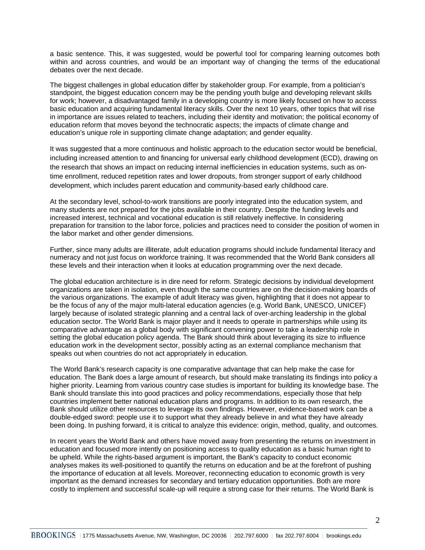a basic sentence. This, it was suggested, would be powerful tool for comparing learning outcomes both within and across countries, and would be an important way of changing the terms of the educational debates over the next decade.

The biggest challenges in global education differ by stakeholder group. For example, from a politician's standpoint, the biggest education concern may be the pending youth bulge and developing relevant skills for work; however, a disadvantaged family in a developing country is more likely focused on how to access basic education and acquiring fundamental literacy skills. Over the next 10 years, other topics that will rise in importance are issues related to teachers, including their identity and motivation; the political economy of education reform that moves beyond the technocratic aspects; the impacts of climate change and education's unique role in supporting climate change adaptation; and gender equality.

It was suggested that a more continuous and holistic approach to the education sector would be beneficial, including increased attention to and financing for universal early childhood development (ECD), drawing on the research that shows an impact on reducing internal inefficiencies in education systems, such as ontime enrollment, reduced repetition rates and lower dropouts, from stronger support of early childhood development, which includes parent education and community-based early childhood care.

At the secondary level, school-to-work transitions are poorly integrated into the education system, and many students are not prepared for the jobs available in their country. Despite the funding levels and increased interest, technical and vocational education is still relatively ineffective. In considering preparation for transition to the labor force, policies and practices need to consider the position of women in the labor market and other gender dimensions.

Further, since many adults are illiterate, adult education programs should include fundamental literacy and numeracy and not just focus on workforce training. It was recommended that the World Bank considers all these levels and their interaction when it looks at education programming over the next decade.

The global education architecture is in dire need for reform. Strategic decisions by individual development organizations are taken in isolation, even though the same countries are on the decision-making boards of the various organizations. The example of adult literacy was given, highlighting that it does not appear to be the focus of any of the major multi-lateral education agencies (e.g. World Bank, UNESCO, UNICEF) largely because of isolated strategic planning and a central lack of over-arching leadership in the global education sector. The World Bank is major player and it needs to operate in partnerships while using its comparative advantage as a global body with significant convening power to take a leadership role in setting the global education policy agenda. The Bank should think about leveraging its size to influence education work in the development sector, possibly acting as an external compliance mechanism that speaks out when countries do not act appropriately in education.

The World Bank's research capacity is one comparative advantage that can help make the case for education. The Bank does a large amount of research, but should make translating its findings into policy a higher priority. Learning from various country case studies is important for building its knowledge base. The Bank should translate this into good practices and policy recommendations, especially those that help countries implement better national education plans and programs. In addition to its own research, the Bank should utilize other resources to leverage its own findings. However, evidence-based work can be a double-edged sword: people use it to support what they already believe in and what they have already been doing. In pushing forward, it is critical to analyze this evidence: origin, method, quality, and outcomes.

In recent years the World Bank and others have moved away from presenting the returns on investment in education and focused more intently on positioning access to quality education as a basic human right to be upheld. While the rights-based argument is important, the Bank's capacity to conduct economic analyses makes its well-positioned to quantify the returns on education and be at the forefront of pushing the importance of education at all levels. Moreover, reconnecting education to economic growth is very important as the demand increases for secondary and tertiary education opportunities. Both are more costly to implement and successful scale-up will require a strong case for their returns. The World Bank is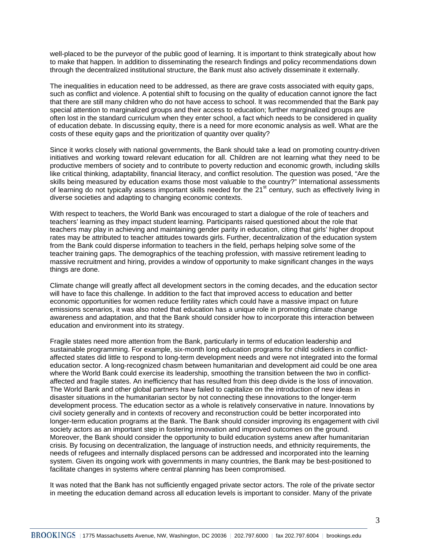well-placed to be the purveyor of the public good of learning. It is important to think strategically about how to make that happen. In addition to disseminating the research findings and policy recommendations down through the decentralized institutional structure, the Bank must also actively disseminate it externally.

The inequalities in education need to be addressed, as there are grave costs associated with equity gaps, such as conflict and violence. A potential shift to focusing on the quality of education cannot ignore the fact that there are still many children who do not have access to school. It was recommended that the Bank pay special attention to marginalized groups and their access to education; further marginalized groups are often lost in the standard curriculum when they enter school, a fact which needs to be considered in quality of education debate. In discussing equity, there is a need for more economic analysis as well. What are the costs of these equity gaps and the prioritization of quantity over quality?

Since it works closely with national governments, the Bank should take a lead on promoting country-driven initiatives and working toward relevant education for all. Children are not learning what they need to be productive members of society and to contribute to poverty reduction and economic growth, including skills like critical thinking, adaptability, financial literacy, and conflict resolution. The question was posed, "Are the skills being measured by education exams those most valuable to the country?" International assessments of learning do not typically assess important skills needed for the  $21<sup>st</sup>$  century, such as effectively living in diverse societies and adapting to changing economic contexts.

With respect to teachers, the World Bank was encouraged to start a dialogue of the role of teachers and teachers' learning as they impact student learning. Participants raised questioned about the role that teachers may play in achieving and maintaining gender parity in education, citing that girls' higher dropout rates may be attributed to teacher attitudes towards girls. Further, decentralization of the education system from the Bank could disperse information to teachers in the field, perhaps helping solve some of the teacher training gaps. The demographics of the teaching profession, with massive retirement leading to massive recruitment and hiring, provides a window of opportunity to make significant changes in the ways things are done.

Climate change will greatly affect all development sectors in the coming decades, and the education sector will have to face this challenge. In addition to the fact that improved access to education and better economic opportunities for women reduce fertility rates which could have a massive impact on future emissions scenarios, it was also noted that education has a unique role in promoting climate change awareness and adaptation, and that the Bank should consider how to incorporate this interaction between education and environment into its strategy.

Fragile states need more attention from the Bank, particularly in terms of education leadership and sustainable programming. For example, six-month long education programs for child soldiers in conflictaffected states did little to respond to long-term development needs and were not integrated into the formal education sector. A long-recognized chasm between humanitarian and development aid could be one area where the World Bank could exercise its leadership, smoothing the transition between the two in conflictaffected and fragile states. An inefficiency that has resulted from this deep divide is the loss of innovation. The World Bank and other global partners have failed to capitalize on the introduction of new ideas in disaster situations in the humanitarian sector by not connecting these innovations to the longer-term development process. The education sector as a whole is relatively conservative in nature. Innovations by civil society generally and in contexts of recovery and reconstruction could be better incorporated into longer-term education programs at the Bank. The Bank should consider improving its engagement with civil society actors as an important step in fostering innovation and improved outcomes on the ground. Moreover, the Bank should consider the opportunity to build education systems anew after humanitarian crisis. By focusing on decentralization, the language of instruction needs, and ethnicity requirements, the needs of refugees and internally displaced persons can be addressed and incorporated into the learning system. Given its ongoing work with governments in many countries, the Bank may be best-positioned to facilitate changes in systems where central planning has been compromised.

It was noted that the Bank has not sufficiently engaged private sector actors. The role of the private sector in meeting the education demand across all education levels is important to consider. Many of the private